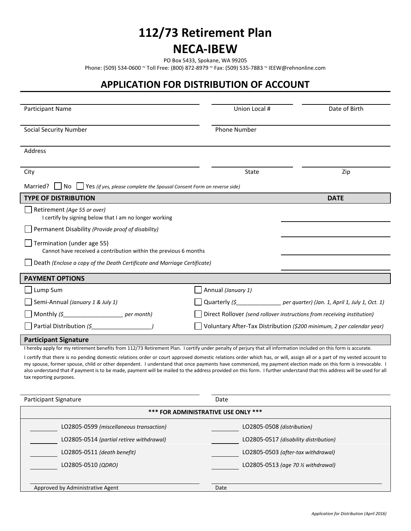## **112/73 Retirement Plan**

## **NECA-IBEW**

PO Box 5433, Spokane, WA 99205

Phone: (509) 534-0600 ~ Toll Free: (800) 872-8979 ~ Fax: (509) 535-7883 ~ IEEW@rehnonline.com

## **APPLICATION FOR DISTRIBUTION OF ACCOUNT**

| <b>Participant Name</b>                                                                                                                                                                                                                                                                                                                                                                                                                                                                                                                      | Union Local #                                                           | Date of Birth                                                               |
|----------------------------------------------------------------------------------------------------------------------------------------------------------------------------------------------------------------------------------------------------------------------------------------------------------------------------------------------------------------------------------------------------------------------------------------------------------------------------------------------------------------------------------------------|-------------------------------------------------------------------------|-----------------------------------------------------------------------------|
| <b>Social Security Number</b>                                                                                                                                                                                                                                                                                                                                                                                                                                                                                                                | <b>Phone Number</b>                                                     |                                                                             |
| <b>Address</b>                                                                                                                                                                                                                                                                                                                                                                                                                                                                                                                               |                                                                         |                                                                             |
| City                                                                                                                                                                                                                                                                                                                                                                                                                                                                                                                                         | State                                                                   | Zip                                                                         |
| Married?<br>l INo<br>  Yes (if yes, please complete the Spousal Consent Form on reverse side)                                                                                                                                                                                                                                                                                                                                                                                                                                                |                                                                         |                                                                             |
| <b>TYPE OF DISTRIBUTION</b>                                                                                                                                                                                                                                                                                                                                                                                                                                                                                                                  |                                                                         | <b>DATE</b>                                                                 |
| Retirement (Age 55 or over)<br>I certify by signing below that I am no longer working                                                                                                                                                                                                                                                                                                                                                                                                                                                        |                                                                         |                                                                             |
| Permanent Disability (Provide proof of disability)                                                                                                                                                                                                                                                                                                                                                                                                                                                                                           |                                                                         |                                                                             |
| Termination (under age 55)<br>Cannot have received a contribution within the previous 6 months                                                                                                                                                                                                                                                                                                                                                                                                                                               |                                                                         |                                                                             |
| Death (Enclose a copy of the Death Certificate and Marriage Certificate)                                                                                                                                                                                                                                                                                                                                                                                                                                                                     |                                                                         |                                                                             |
| <b>PAYMENT OPTIONS</b>                                                                                                                                                                                                                                                                                                                                                                                                                                                                                                                       |                                                                         |                                                                             |
| Lump Sum                                                                                                                                                                                                                                                                                                                                                                                                                                                                                                                                     | Annual (January 1)                                                      |                                                                             |
| Semi-Annual (January 1 & July 1)                                                                                                                                                                                                                                                                                                                                                                                                                                                                                                             |                                                                         | Quarterly (\$ ______________ per quarter) (Jan. 1, April 1, July 1, Oct. 1) |
| Monthly $(\xi$ per month)                                                                                                                                                                                                                                                                                                                                                                                                                                                                                                                    | Direct Rollover (send rollover instructions from receiving institution) |                                                                             |
| Partial Distribution (\$                                                                                                                                                                                                                                                                                                                                                                                                                                                                                                                     |                                                                         | Voluntary After-Tax Distribution (\$200 minimum, 2 per calendar year)       |
| <b>Participant Signature</b>                                                                                                                                                                                                                                                                                                                                                                                                                                                                                                                 |                                                                         |                                                                             |
| I hereby apply for my retirement benefits from 112/73 Retirement Plan. I certify under penalty of perjury that all information included on this form is accurate.                                                                                                                                                                                                                                                                                                                                                                            |                                                                         |                                                                             |
| I certify that there is no pending domestic relations order or court approved domestic relations order which has, or will, assign all or a part of my vested account to<br>my spouse, former spouse, child or other dependent. I understand that once payments have commenced, my payment election made on this form is irrevocable. I<br>also understand that if payment is to be made, payment will be mailed to the address provided on this form. I further understand that this address will be used for all<br>tax reporting purposes. |                                                                         |                                                                             |

| Participant Signature                    | Date                                          |  |  |
|------------------------------------------|-----------------------------------------------|--|--|
| *** FOR ADMINISTRATIVE USE ONLY ***      |                                               |  |  |
| LO2805-0599 (miscellaneous transaction)  | LO2805-0508 (distribution)                    |  |  |
| LO2805-0514 (partial retiree withdrawal) | LO2805-0517 (disability distribution)         |  |  |
| LO2805-0511 (death benefit)              | LO2805-0503 (after-tax withdrawal)            |  |  |
| LO2805-0510 (QDRO)                       | LO2805-0513 (age 70 $\frac{1}{2}$ withdrawal) |  |  |
|                                          |                                               |  |  |
| Approved by Administrative Agent         | Date                                          |  |  |